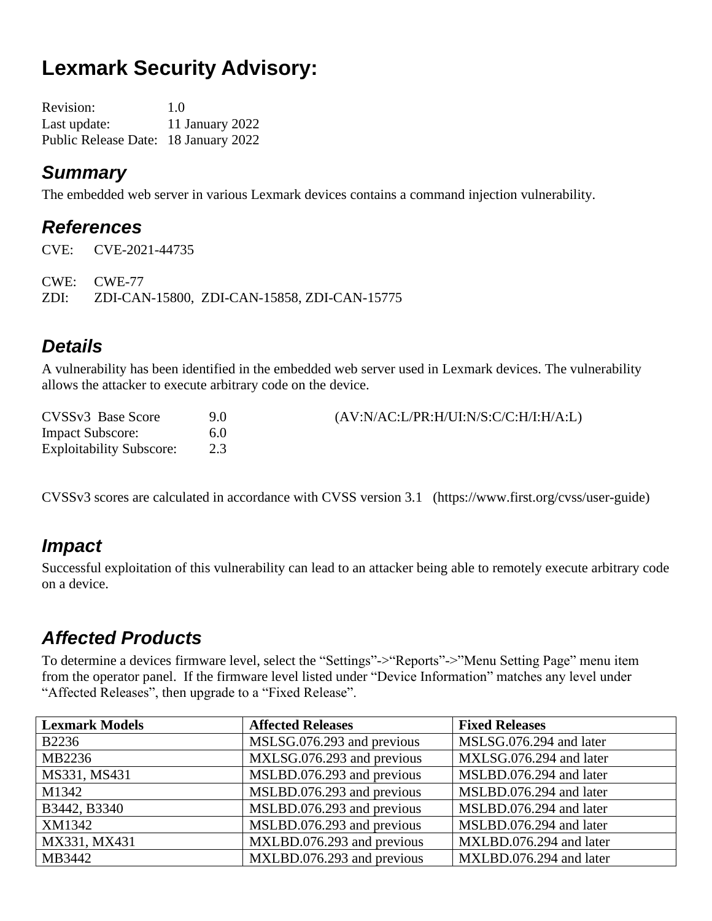# **Lexmark Security Advisory:**

| <b>Revision:</b>                     | 1.0             |
|--------------------------------------|-----------------|
| Last update:                         | 11 January 2022 |
| Public Release Date: 18 January 2022 |                 |

#### *Summary*

The embedded web server in various Lexmark devices contains a command injection vulnerability.

#### *References*

CVE: CVE-2021-44735 CWE: CWE-77 ZDI: ZDI-CAN-15800, ZDI-CAN-15858, ZDI-CAN-15775

# *Details*

A vulnerability has been identified in the embedded web server used in Lexmark devices. The vulnerability allows the attacker to execute arbitrary code on the device.

| CVSSv3 Base Score               | 90  | (AV:N/AC:L/PR:H/UI:N/S:C/C:H/I:H/A:L) |
|---------------------------------|-----|---------------------------------------|
| <b>Impact Subscore:</b>         | 6.0 |                                       |
| <b>Exploitability Subscore:</b> |     |                                       |

CVSSv3 scores are calculated in accordance with CVSS version 3.1 (https://www.first.org/cvss/user-guide)

# *Impact*

Successful exploitation of this vulnerability can lead to an attacker being able to remotely execute arbitrary code on a device.

# *Affected Products*

To determine a devices firmware level, select the "Settings"->"Reports"->"Menu Setting Page" menu item from the operator panel. If the firmware level listed under "Device Information" matches any level under "Affected Releases", then upgrade to a "Fixed Release".

| <b>Lexmark Models</b> | <b>Affected Releases</b>   | <b>Fixed Releases</b>   |
|-----------------------|----------------------------|-------------------------|
| <b>B2236</b>          | MSLSG.076.293 and previous | MSLSG.076.294 and later |
| MB2236                | MXLSG.076.293 and previous | MXLSG.076.294 and later |
| MS331, MS431          | MSLBD.076.293 and previous | MSLBD.076.294 and later |
| M1342                 | MSLBD.076.293 and previous | MSLBD.076.294 and later |
| B3442, B3340          | MSLBD.076.293 and previous | MSLBD.076.294 and later |
| XM1342                | MSLBD.076.293 and previous | MSLBD.076.294 and later |
| MX331, MX431          | MXLBD.076.293 and previous | MXLBD.076.294 and later |
| MB3442                | MXLBD.076.293 and previous | MXLBD.076.294 and later |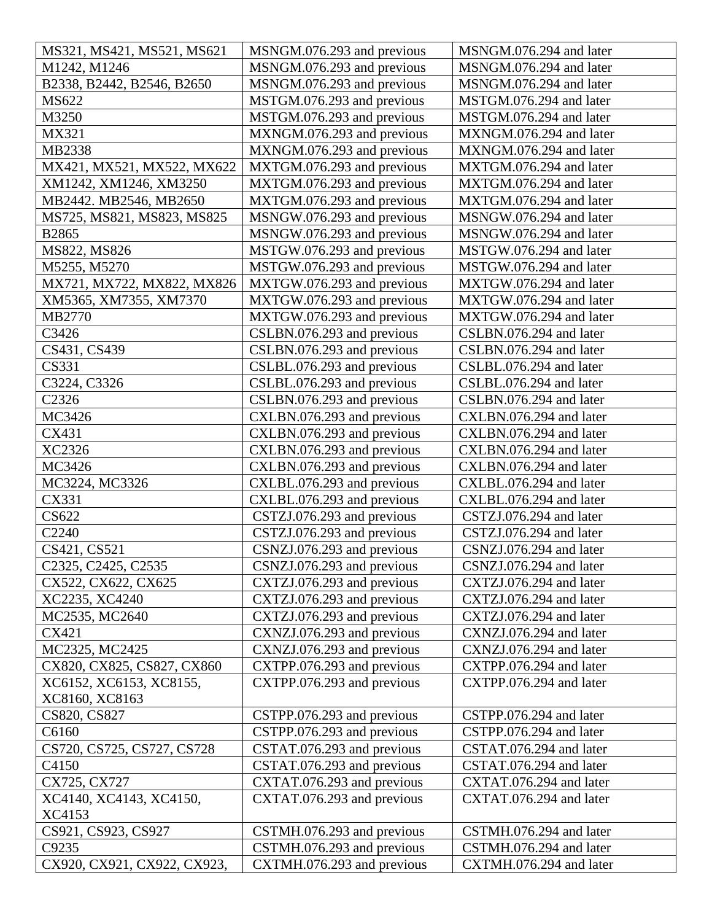| MS321, MS421, MS521, MS621  | MSNGM.076.293 and previous | MSNGM.076.294 and later |
|-----------------------------|----------------------------|-------------------------|
| M1242, M1246                | MSNGM.076.293 and previous | MSNGM.076.294 and later |
| B2338, B2442, B2546, B2650  | MSNGM.076.293 and previous | MSNGM.076.294 and later |
| MS622                       | MSTGM.076.293 and previous | MSTGM.076.294 and later |
| M3250                       | MSTGM.076.293 and previous | MSTGM.076.294 and later |
| MX321                       | MXNGM.076.293 and previous | MXNGM.076.294 and later |
| MB2338                      | MXNGM.076.293 and previous | MXNGM.076.294 and later |
| MX421, MX521, MX522, MX622  | MXTGM.076.293 and previous | MXTGM.076.294 and later |
| XM1242, XM1246, XM3250      | MXTGM.076.293 and previous | MXTGM.076.294 and later |
| MB2442. MB2546, MB2650      | MXTGM.076.293 and previous | MXTGM.076.294 and later |
| MS725, MS821, MS823, MS825  | MSNGW.076.293 and previous | MSNGW.076.294 and later |
| B2865                       | MSNGW.076.293 and previous | MSNGW.076.294 and later |
| MS822, MS826                | MSTGW.076.293 and previous | MSTGW.076.294 and later |
| M5255, M5270                | MSTGW.076.293 and previous | MSTGW.076.294 and later |
| MX721, MX722, MX822, MX826  | MXTGW.076.293 and previous | MXTGW.076.294 and later |
| XM5365, XM7355, XM7370      | MXTGW.076.293 and previous | MXTGW.076.294 and later |
| MB2770                      | MXTGW.076.293 and previous | MXTGW.076.294 and later |
| C3426                       | CSLBN.076.293 and previous | CSLBN.076.294 and later |
| CS431, CS439                | CSLBN.076.293 and previous | CSLBN.076.294 and later |
| CS331                       | CSLBL.076.293 and previous | CSLBL.076.294 and later |
| C3224, C3326                | CSLBL.076.293 and previous | CSLBL.076.294 and later |
| C <sub>2326</sub>           | CSLBN.076.293 and previous | CSLBN.076.294 and later |
| MC3426                      | CXLBN.076.293 and previous | CXLBN.076.294 and later |
| CX431                       | CXLBN.076.293 and previous | CXLBN.076.294 and later |
| XC2326                      | CXLBN.076.293 and previous | CXLBN.076.294 and later |
| MC3426                      | CXLBN.076.293 and previous | CXLBN.076.294 and later |
| MC3224, MC3326              | CXLBL.076.293 and previous | CXLBL.076.294 and later |
| CX331                       | CXLBL.076.293 and previous | CXLBL.076.294 and later |
| CS622                       | CSTZJ.076.293 and previous | CSTZJ.076.294 and later |
| C <sub>2240</sub>           | CSTZJ.076.293 and previous | CSTZJ.076.294 and later |
| CS421, CS521                | CSNZJ.076.293 and previous | CSNZJ.076.294 and later |
| C2325, C2425, C2535         | CSNZJ.076.293 and previous | CSNZJ.076.294 and later |
| CX522, CX622, CX625         | CXTZJ.076.293 and previous | CXTZJ.076.294 and later |
| XC2235, XC4240              | CXTZJ.076.293 and previous | CXTZJ.076.294 and later |
| MC2535, MC2640              | CXTZJ.076.293 and previous | CXTZJ.076.294 and later |
| CX421                       | CXNZJ.076.293 and previous | CXNZJ.076.294 and later |
| MC2325, MC2425              | CXNZJ.076.293 and previous | CXNZJ.076.294 and later |
| CX820, CX825, CS827, CX860  | CXTPP.076.293 and previous | CXTPP.076.294 and later |
| XC6152, XC6153, XC8155,     | CXTPP.076.293 and previous | CXTPP.076.294 and later |
| XC8160, XC8163              |                            |                         |
| CS820, CS827                | CSTPP.076.293 and previous | CSTPP.076.294 and later |
| C6160                       | CSTPP.076.293 and previous | CSTPP.076.294 and later |
| CS720, CS725, CS727, CS728  | CSTAT.076.293 and previous | CSTAT.076.294 and later |
| C4150                       | CSTAT.076.293 and previous | CSTAT.076.294 and later |
| CX725, CX727                | CXTAT.076.293 and previous | CXTAT.076.294 and later |
| XC4140, XC4143, XC4150,     | CXTAT.076.293 and previous | CXTAT.076.294 and later |
| XC4153                      |                            |                         |
| CS921, CS923, CS927         | CSTMH.076.293 and previous | CSTMH.076.294 and later |
| C9235                       | CSTMH.076.293 and previous | CSTMH.076.294 and later |
| CX920, CX921, CX922, CX923, | CXTMH.076.293 and previous | CXTMH.076.294 and later |